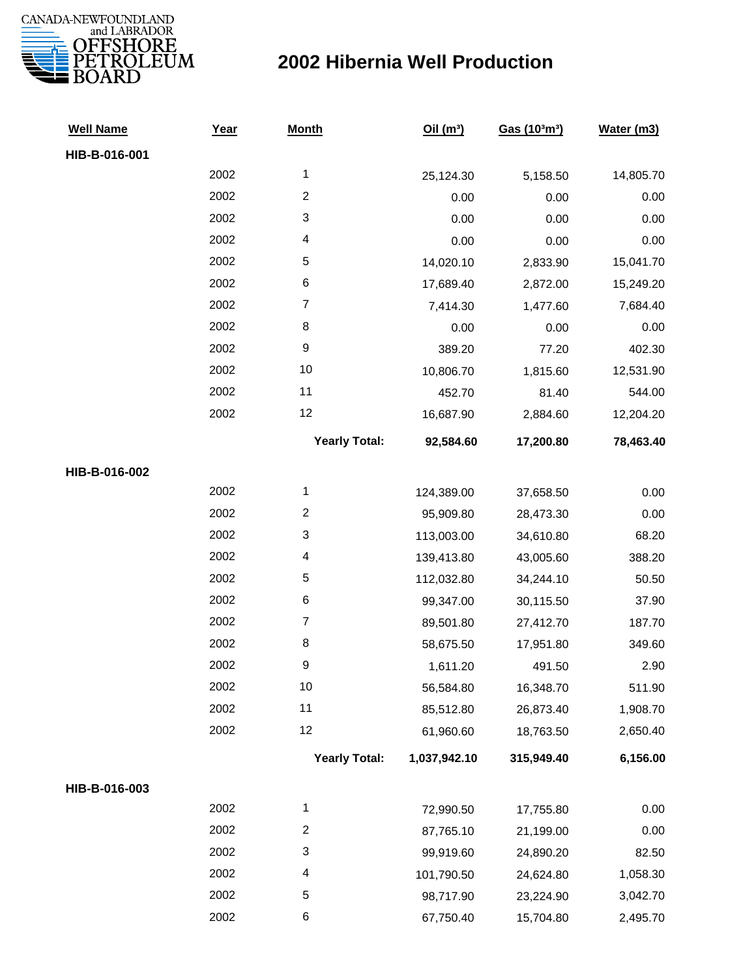

| <b>Well Name</b> | Year | <b>Month</b>            | Oil $(m^3)$  | Gas (103m3) | Water (m3) |
|------------------|------|-------------------------|--------------|-------------|------------|
| HIB-B-016-001    |      |                         |              |             |            |
|                  | 2002 | $\mathbf{1}$            | 25,124.30    | 5,158.50    | 14,805.70  |
|                  | 2002 | $\overline{2}$          | 0.00         | 0.00        | 0.00       |
|                  | 2002 | 3                       | 0.00         | 0.00        | 0.00       |
|                  | 2002 | 4                       | 0.00         | 0.00        | 0.00       |
|                  | 2002 | 5                       | 14,020.10    | 2,833.90    | 15,041.70  |
|                  | 2002 | 6                       | 17,689.40    | 2,872.00    | 15,249.20  |
|                  | 2002 | $\boldsymbol{7}$        | 7,414.30     | 1,477.60    | 7,684.40   |
|                  | 2002 | 8                       | 0.00         | 0.00        | 0.00       |
|                  | 2002 | 9                       | 389.20       | 77.20       | 402.30     |
|                  | 2002 | 10                      | 10,806.70    | 1,815.60    | 12,531.90  |
|                  | 2002 | 11                      | 452.70       | 81.40       | 544.00     |
|                  | 2002 | 12                      | 16,687.90    | 2,884.60    | 12,204.20  |
|                  |      | <b>Yearly Total:</b>    | 92,584.60    | 17,200.80   | 78,463.40  |
| HIB-B-016-002    |      |                         |              |             |            |
|                  | 2002 | 1                       | 124,389.00   | 37,658.50   | 0.00       |
|                  | 2002 | $\overline{\mathbf{c}}$ | 95,909.80    | 28,473.30   | 0.00       |
|                  | 2002 | 3                       | 113,003.00   | 34,610.80   | 68.20      |
|                  | 2002 | $\overline{\mathbf{4}}$ | 139,413.80   | 43,005.60   | 388.20     |
|                  | 2002 | 5                       | 112,032.80   | 34,244.10   | 50.50      |
|                  | 2002 | 6                       | 99,347.00    | 30,115.50   | 37.90      |
|                  | 2002 | $\boldsymbol{7}$        | 89,501.80    | 27,412.70   | 187.70     |
|                  | 2002 | 8                       | 58,675.50    | 17,951.80   | 349.60     |
|                  | 2002 | $\boldsymbol{9}$        | 1,611.20     | 491.50      | 2.90       |
|                  | 2002 | 10                      | 56,584.80    | 16,348.70   | 511.90     |
|                  | 2002 | 11                      | 85,512.80    | 26,873.40   | 1,908.70   |
|                  | 2002 | 12                      | 61,960.60    | 18,763.50   | 2,650.40   |
|                  |      | <b>Yearly Total:</b>    | 1,037,942.10 | 315,949.40  | 6,156.00   |
| HIB-B-016-003    |      |                         |              |             |            |
|                  | 2002 | $\mathbf{1}$            | 72,990.50    | 17,755.80   | 0.00       |
|                  | 2002 | $\overline{\mathbf{c}}$ | 87,765.10    | 21,199.00   | 0.00       |
|                  | 2002 | 3                       | 99,919.60    | 24,890.20   | 82.50      |
|                  | 2002 | 4                       | 101,790.50   | 24,624.80   | 1,058.30   |
|                  | 2002 | 5                       | 98,717.90    | 23,224.90   | 3,042.70   |
|                  | 2002 | 6                       | 67,750.40    | 15,704.80   | 2,495.70   |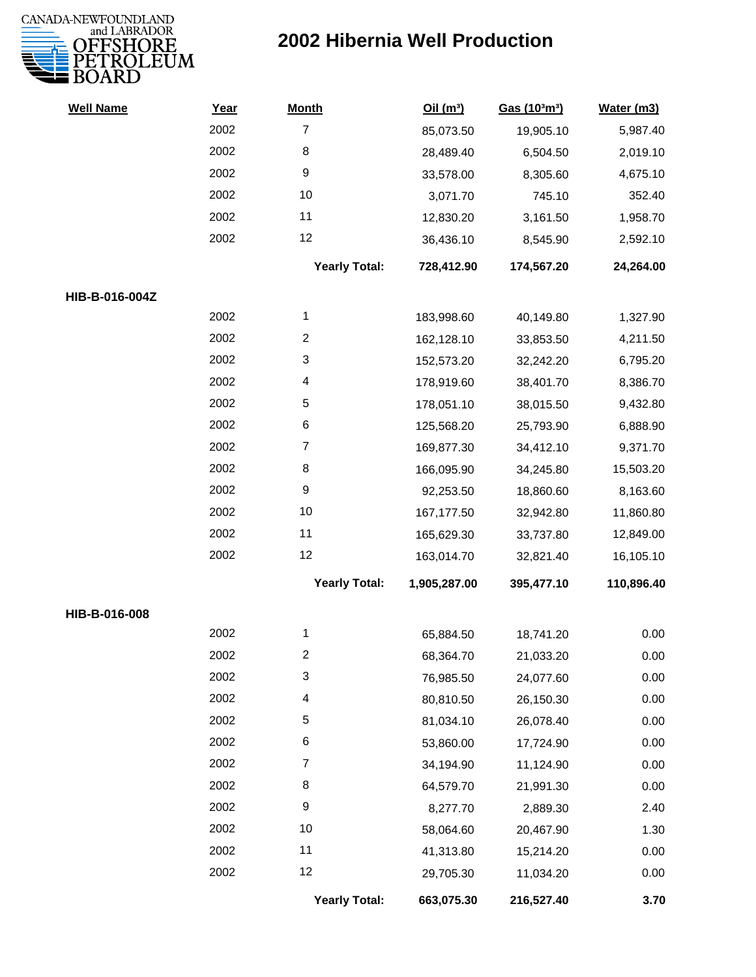

| <b>Well Name</b> | Year | <b>Month</b>              | Oil(m <sup>3</sup> ) | Gas (103m3) | Water (m3) |
|------------------|------|---------------------------|----------------------|-------------|------------|
|                  | 2002 | $\overline{7}$            | 85,073.50            | 19,905.10   | 5,987.40   |
|                  | 2002 | 8                         | 28,489.40            | 6,504.50    | 2,019.10   |
|                  | 2002 | $\boldsymbol{9}$          | 33,578.00            | 8,305.60    | 4,675.10   |
|                  | 2002 | 10                        | 3,071.70             | 745.10      | 352.40     |
|                  | 2002 | 11                        | 12,830.20            | 3,161.50    | 1,958.70   |
|                  | 2002 | 12                        | 36,436.10            | 8,545.90    | 2,592.10   |
|                  |      | <b>Yearly Total:</b>      | 728,412.90           | 174,567.20  | 24,264.00  |
| HIB-B-016-004Z   |      |                           |                      |             |            |
|                  | 2002 | 1                         | 183,998.60           | 40,149.80   | 1,327.90   |
|                  | 2002 | $\overline{2}$            | 162,128.10           | 33,853.50   | 4,211.50   |
|                  | 2002 | 3                         | 152,573.20           | 32,242.20   | 6,795.20   |
|                  | 2002 | 4                         | 178,919.60           | 38,401.70   | 8,386.70   |
|                  | 2002 | 5                         | 178,051.10           | 38,015.50   | 9,432.80   |
|                  | 2002 | 6                         | 125,568.20           | 25,793.90   | 6,888.90   |
|                  | 2002 | $\overline{7}$            | 169,877.30           | 34,412.10   | 9,371.70   |
|                  | 2002 | 8                         | 166,095.90           | 34,245.80   | 15,503.20  |
|                  | 2002 | 9                         | 92,253.50            | 18,860.60   | 8,163.60   |
|                  | 2002 | 10                        | 167,177.50           | 32,942.80   | 11,860.80  |
|                  | 2002 | 11                        | 165,629.30           | 33,737.80   | 12,849.00  |
|                  | 2002 | 12                        | 163,014.70           | 32,821.40   | 16,105.10  |
|                  |      | <b>Yearly Total:</b>      | 1,905,287.00         | 395,477.10  | 110,896.40 |
| HIB-B-016-008    |      |                           |                      |             |            |
|                  | 2002 | 1                         | 65,884.50            | 18,741.20   | 0.00       |
|                  | 2002 | 2                         | 68,364.70            | 21,033.20   | 0.00       |
|                  | 2002 | $\ensuremath{\mathsf{3}}$ | 76,985.50            | 24,077.60   | 0.00       |
|                  | 2002 | $\overline{\mathbf{4}}$   | 80,810.50            | 26,150.30   | 0.00       |
|                  | 2002 | $\sqrt{5}$                | 81,034.10            | 26,078.40   | 0.00       |
|                  | 2002 | 6                         | 53,860.00            | 17,724.90   | 0.00       |
|                  | 2002 | $\overline{7}$            | 34,194.90            | 11,124.90   | 0.00       |
|                  | 2002 | 8                         | 64,579.70            | 21,991.30   | 0.00       |
|                  | 2002 | $\boldsymbol{9}$          | 8,277.70             | 2,889.30    | 2.40       |
|                  | 2002 | $10$                      | 58,064.60            | 20,467.90   | 1.30       |
|                  | 2002 | 11                        | 41,313.80            | 15,214.20   | 0.00       |
|                  | 2002 | 12                        | 29,705.30            | 11,034.20   | 0.00       |
|                  |      | <b>Yearly Total:</b>      | 663,075.30           | 216,527.40  | 3.70       |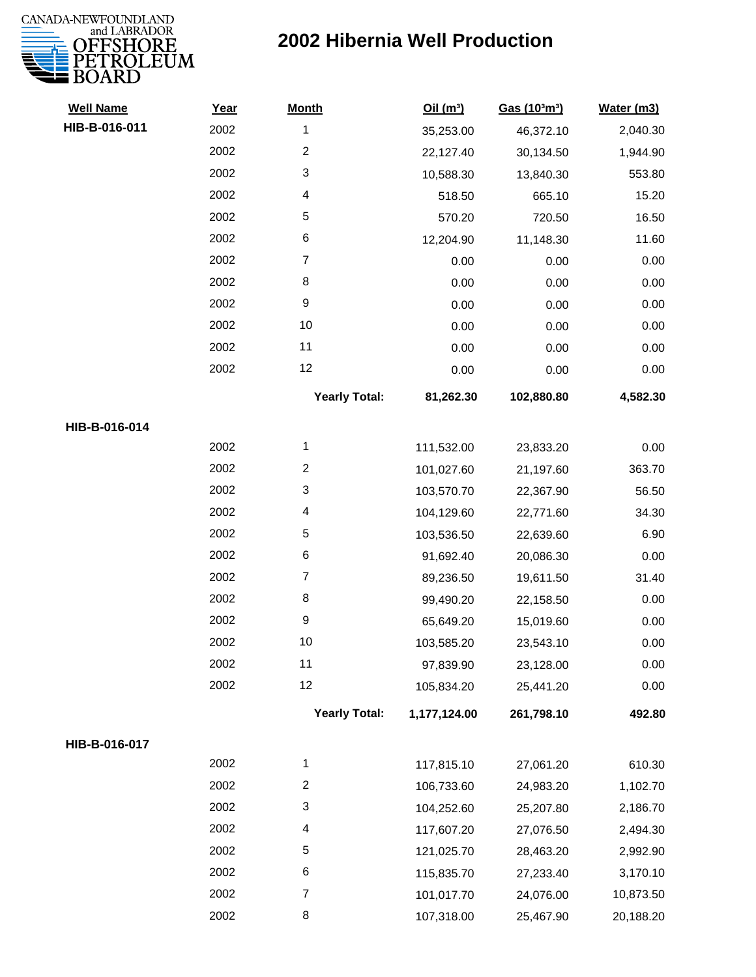

| <b>Well Name</b> | Year | <b>Month</b>            | Oil(m <sup>3</sup> ) | Gas (103m3) | Water (m3) |
|------------------|------|-------------------------|----------------------|-------------|------------|
| HIB-B-016-011    | 2002 | 1                       | 35,253.00            | 46,372.10   | 2,040.30   |
|                  | 2002 | $\overline{c}$          | 22,127.40            | 30,134.50   | 1,944.90   |
|                  | 2002 | 3                       | 10,588.30            | 13,840.30   | 553.80     |
|                  | 2002 | 4                       | 518.50               | 665.10      | 15.20      |
|                  | 2002 | 5                       | 570.20               | 720.50      | 16.50      |
|                  | 2002 | 6                       | 12,204.90            | 11,148.30   | 11.60      |
|                  | 2002 | 7                       | 0.00                 | 0.00        | 0.00       |
|                  | 2002 | 8                       | 0.00                 | 0.00        | 0.00       |
|                  | 2002 | 9                       | 0.00                 | 0.00        | 0.00       |
|                  | 2002 | 10                      | 0.00                 | 0.00        | 0.00       |
|                  | 2002 | 11                      | 0.00                 | 0.00        | 0.00       |
|                  | 2002 | 12                      | 0.00                 | 0.00        | 0.00       |
|                  |      | <b>Yearly Total:</b>    | 81,262.30            | 102,880.80  | 4,582.30   |
| HIB-B-016-014    |      |                         |                      |             |            |
|                  | 2002 | 1                       | 111,532.00           | 23,833.20   | 0.00       |
|                  | 2002 | $\overline{\mathbf{c}}$ | 101,027.60           | 21,197.60   | 363.70     |
|                  | 2002 | 3                       | 103,570.70           | 22,367.90   | 56.50      |
|                  | 2002 | 4                       | 104,129.60           | 22,771.60   | 34.30      |
|                  | 2002 | 5                       | 103,536.50           | 22,639.60   | 6.90       |
|                  | 2002 | 6                       | 91,692.40            | 20,086.30   | 0.00       |
|                  | 2002 | $\overline{7}$          | 89,236.50            | 19,611.50   | 31.40      |
|                  | 2002 | 8                       | 99,490.20            | 22,158.50   | 0.00       |
|                  | 2002 | 9                       | 65,649.20            | 15,019.60   | 0.00       |
|                  | 2002 | 10                      | 103,585.20           | 23,543.10   | 0.00       |
|                  | 2002 | 11                      | 97,839.90            | 23,128.00   | 0.00       |
|                  | 2002 | 12                      | 105,834.20           | 25,441.20   | 0.00       |
|                  |      | <b>Yearly Total:</b>    | 1,177,124.00         | 261,798.10  | 492.80     |
| HIB-B-016-017    |      |                         |                      |             |            |
|                  | 2002 | 1                       | 117,815.10           | 27,061.20   | 610.30     |
|                  | 2002 | $\overline{c}$          | 106,733.60           | 24,983.20   | 1,102.70   |
|                  | 2002 | 3                       | 104,252.60           | 25,207.80   | 2,186.70   |
|                  | 2002 | 4                       | 117,607.20           | 27,076.50   | 2,494.30   |
|                  | 2002 | 5                       | 121,025.70           | 28,463.20   | 2,992.90   |
|                  | 2002 | 6                       | 115,835.70           | 27,233.40   | 3,170.10   |
|                  | 2002 | $\overline{7}$          | 101,017.70           | 24,076.00   | 10,873.50  |
|                  | 2002 | 8                       | 107,318.00           | 25,467.90   | 20,188.20  |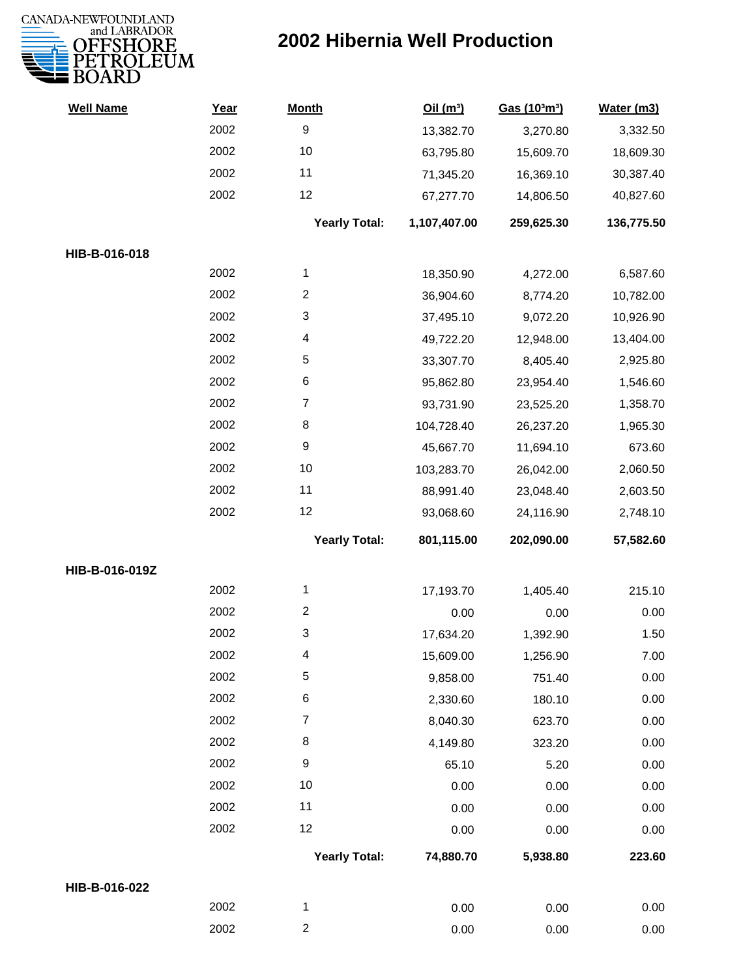

| <b>Well Name</b> | Year | <b>Month</b>            | Oil(m <sup>3</sup> ) | Gas (103m3) | Water (m3) |
|------------------|------|-------------------------|----------------------|-------------|------------|
|                  | 2002 | $\boldsymbol{9}$        | 13,382.70            | 3,270.80    | 3,332.50   |
|                  | 2002 | 10                      | 63,795.80            | 15,609.70   | 18,609.30  |
|                  | 2002 | 11                      | 71,345.20            | 16,369.10   | 30,387.40  |
|                  | 2002 | 12                      | 67,277.70            | 14,806.50   | 40,827.60  |
|                  |      | <b>Yearly Total:</b>    | 1,107,407.00         | 259,625.30  | 136,775.50 |
| HIB-B-016-018    |      |                         |                      |             |            |
|                  | 2002 | 1                       | 18,350.90            | 4,272.00    | 6,587.60   |
|                  | 2002 | $\overline{c}$          | 36,904.60            | 8,774.20    | 10,782.00  |
|                  | 2002 | 3                       | 37,495.10            | 9,072.20    | 10,926.90  |
|                  | 2002 | 4                       | 49,722.20            | 12,948.00   | 13,404.00  |
|                  | 2002 | 5                       | 33,307.70            | 8,405.40    | 2,925.80   |
|                  | 2002 | 6                       | 95,862.80            | 23,954.40   | 1,546.60   |
|                  | 2002 | $\overline{7}$          | 93,731.90            | 23,525.20   | 1,358.70   |
|                  | 2002 | 8                       | 104,728.40           | 26,237.20   | 1,965.30   |
|                  | 2002 | 9                       | 45,667.70            | 11,694.10   | 673.60     |
|                  | 2002 | 10                      | 103,283.70           | 26,042.00   | 2,060.50   |
|                  | 2002 | 11                      | 88,991.40            | 23,048.40   | 2,603.50   |
|                  | 2002 | 12                      | 93,068.60            | 24,116.90   | 2,748.10   |
|                  |      | <b>Yearly Total:</b>    | 801,115.00           | 202,090.00  | 57,582.60  |
| HIB-B-016-019Z   |      |                         |                      |             |            |
|                  | 2002 | 1                       | 17,193.70            | 1,405.40    | 215.10     |
|                  | 2002 | $\overline{c}$          | 0.00                 | 0.00        | 0.00       |
|                  | 2002 | 3                       | 17,634.20            | 1,392.90    | 1.50       |
|                  | 2002 | 4                       | 15,609.00            | 1,256.90    | 7.00       |
|                  | 2002 | 5                       | 9,858.00             | 751.40      | 0.00       |
|                  | 2002 | 6                       | 2,330.60             | 180.10      | 0.00       |
|                  | 2002 | $\boldsymbol{7}$        | 8,040.30             | 623.70      | 0.00       |
|                  | 2002 | 8                       | 4,149.80             | 323.20      | 0.00       |
|                  | 2002 | 9                       | 65.10                | 5.20        | 0.00       |
|                  | 2002 | 10                      | 0.00                 | 0.00        | 0.00       |
|                  | 2002 | 11                      | 0.00                 | 0.00        | 0.00       |
|                  | 2002 | 12                      | 0.00                 | 0.00        | 0.00       |
|                  |      | <b>Yearly Total:</b>    | 74,880.70            | 5,938.80    | 223.60     |
| HIB-B-016-022    |      |                         |                      |             |            |
|                  | 2002 | 1                       | 0.00                 | 0.00        | 0.00       |
|                  | 2002 | $\overline{\mathbf{c}}$ | 0.00                 | 0.00        | 0.00       |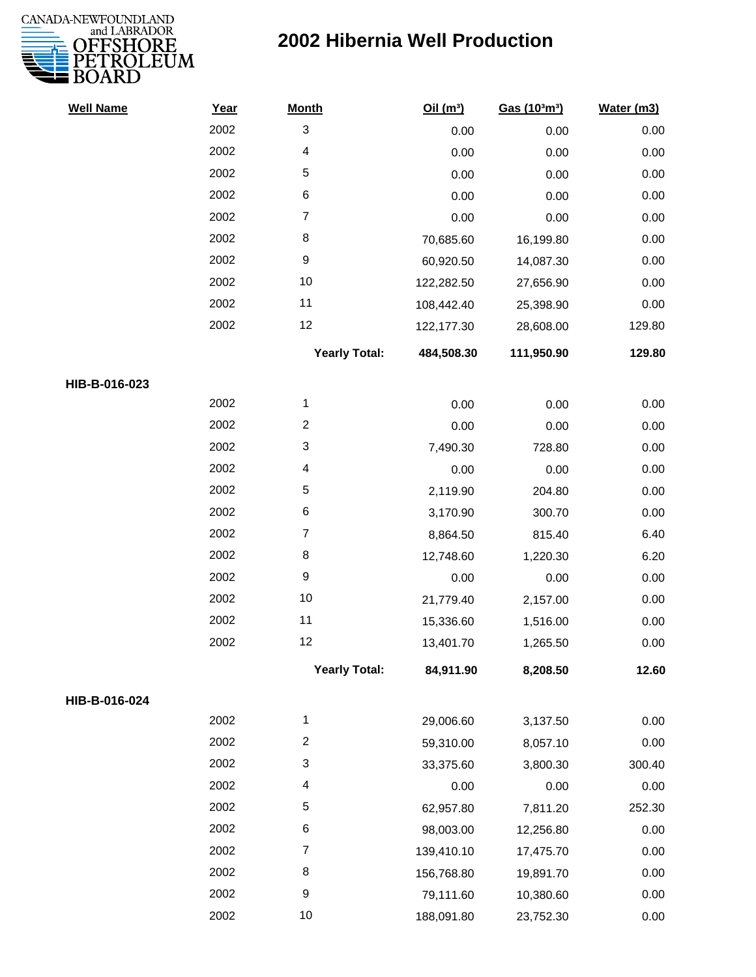

| <b>Well Name</b> | Year | <b>Month</b>            | Oil(m <sup>3</sup> ) | Gas (103m3) | Water (m3) |
|------------------|------|-------------------------|----------------------|-------------|------------|
|                  | 2002 | 3                       | 0.00                 | 0.00        | 0.00       |
|                  | 2002 | 4                       | 0.00                 | 0.00        | 0.00       |
|                  | 2002 | 5                       | 0.00                 | 0.00        | 0.00       |
|                  | 2002 | 6                       | 0.00                 | 0.00        | 0.00       |
|                  | 2002 | $\overline{7}$          | 0.00                 | 0.00        | 0.00       |
|                  | 2002 | 8                       | 70,685.60            | 16,199.80   | 0.00       |
|                  | 2002 | 9                       | 60,920.50            | 14,087.30   | 0.00       |
|                  | 2002 | 10                      | 122,282.50           | 27,656.90   | 0.00       |
|                  | 2002 | 11                      | 108,442.40           | 25,398.90   | $0.00\,$   |
|                  | 2002 | 12                      | 122,177.30           | 28,608.00   | 129.80     |
|                  |      | <b>Yearly Total:</b>    | 484,508.30           | 111,950.90  | 129.80     |
| HIB-B-016-023    |      |                         |                      |             |            |
|                  | 2002 | 1                       | 0.00                 | 0.00        | 0.00       |
|                  | 2002 | $\overline{c}$          | 0.00                 | 0.00        | 0.00       |
|                  | 2002 | 3                       | 7,490.30             | 728.80      | 0.00       |
|                  | 2002 | $\overline{\mathbf{4}}$ | 0.00                 | 0.00        | 0.00       |
|                  | 2002 | 5                       | 2,119.90             | 204.80      | 0.00       |
|                  | 2002 | 6                       | 3,170.90             | 300.70      | 0.00       |
|                  | 2002 | $\overline{7}$          | 8,864.50             | 815.40      | 6.40       |
|                  | 2002 | 8                       | 12,748.60            | 1,220.30    | 6.20       |
|                  | 2002 | 9                       | 0.00                 | 0.00        | 0.00       |
|                  | 2002 | 10                      | 21,779.40            | 2,157.00    | 0.00       |
|                  | 2002 | 11                      | 15,336.60            | 1,516.00    | 0.00       |
|                  | 2002 | 12                      | 13,401.70            | 1,265.50    | 0.00       |
|                  |      | <b>Yearly Total:</b>    | 84,911.90            | 8,208.50    | 12.60      |
| HIB-B-016-024    |      |                         |                      |             |            |
|                  | 2002 | 1                       | 29,006.60            | 3,137.50    | 0.00       |
|                  | 2002 | $\overline{c}$          | 59,310.00            | 8,057.10    | 0.00       |
|                  | 2002 | 3                       | 33,375.60            | 3,800.30    | 300.40     |
|                  | 2002 | 4                       | 0.00                 | 0.00        | 0.00       |
|                  | 2002 | 5                       | 62,957.80            | 7,811.20    | 252.30     |
|                  | 2002 | 6                       | 98,003.00            | 12,256.80   | 0.00       |
|                  | 2002 | $\overline{7}$          | 139,410.10           | 17,475.70   | 0.00       |
|                  | 2002 | 8                       | 156,768.80           | 19,891.70   | 0.00       |
|                  | 2002 | 9                       | 79,111.60            | 10,380.60   | 0.00       |
|                  | 2002 | 10                      | 188,091.80           | 23,752.30   | 0.00       |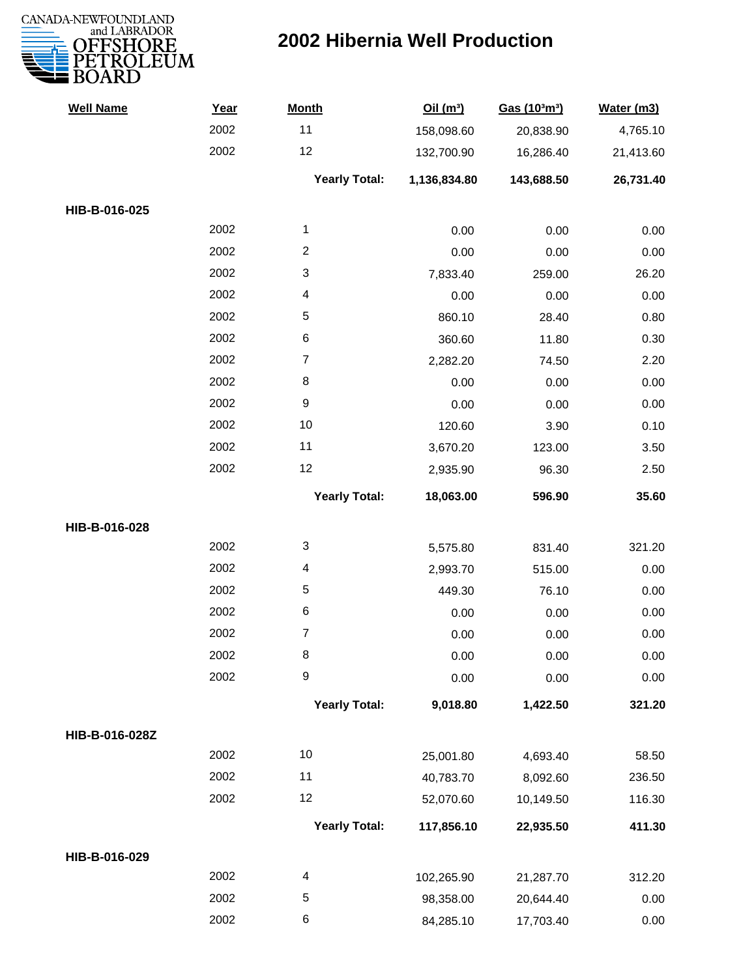

| <b>Well Name</b> | Year | <b>Month</b>         | Oil(m <sup>3</sup> ) | Gas (103m3) | Water (m3) |
|------------------|------|----------------------|----------------------|-------------|------------|
|                  | 2002 | 11                   | 158,098.60           | 20,838.90   | 4,765.10   |
|                  | 2002 | 12                   | 132,700.90           | 16,286.40   | 21,413.60  |
|                  |      | <b>Yearly Total:</b> | 1,136,834.80         | 143,688.50  | 26,731.40  |
| HIB-B-016-025    |      |                      |                      |             |            |
|                  | 2002 | $\mathbf{1}$         | 0.00                 | 0.00        | 0.00       |
|                  | 2002 | $\overline{c}$       | 0.00                 | 0.00        | 0.00       |
|                  | 2002 | 3                    | 7,833.40             | 259.00      | 26.20      |
|                  | 2002 | 4                    | 0.00                 | 0.00        | 0.00       |
|                  | 2002 | 5                    | 860.10               | 28.40       | 0.80       |
|                  | 2002 | 6                    | 360.60               | 11.80       | 0.30       |
|                  | 2002 | $\overline{7}$       | 2,282.20             | 74.50       | 2.20       |
|                  | 2002 | 8                    | 0.00                 | 0.00        | 0.00       |
|                  | 2002 | $\boldsymbol{9}$     | 0.00                 | 0.00        | 0.00       |
|                  | 2002 | 10                   | 120.60               | 3.90        | 0.10       |
|                  | 2002 | 11                   | 3,670.20             | 123.00      | 3.50       |
|                  | 2002 | 12                   | 2,935.90             | 96.30       | 2.50       |
|                  |      | <b>Yearly Total:</b> | 18,063.00            | 596.90      | 35.60      |
| HIB-B-016-028    |      |                      |                      |             |            |
|                  | 2002 | 3                    | 5,575.80             | 831.40      | 321.20     |
|                  | 2002 | 4                    | 2,993.70             | 515.00      | 0.00       |
|                  | 2002 | 5                    | 449.30               | 76.10       | 0.00       |
|                  | 2002 | 6                    | 0.00                 | 0.00        | 0.00       |
|                  | 2002 | $\overline{7}$       | 0.00                 | 0.00        | 0.00       |
|                  | 2002 | 8                    | 0.00                 | 0.00        | 0.00       |
|                  | 2002 | 9                    | 0.00                 | 0.00        | 0.00       |
|                  |      | <b>Yearly Total:</b> | 9,018.80             | 1,422.50    | 321.20     |
| HIB-B-016-028Z   |      |                      |                      |             |            |
|                  | 2002 | 10                   | 25,001.80            | 4,693.40    | 58.50      |
|                  | 2002 | 11                   | 40,783.70            | 8,092.60    | 236.50     |
|                  | 2002 | 12                   | 52,070.60            | 10,149.50   | 116.30     |
|                  |      | <b>Yearly Total:</b> | 117,856.10           | 22,935.50   | 411.30     |
| HIB-B-016-029    |      |                      |                      |             |            |
|                  | 2002 | 4                    | 102,265.90           | 21,287.70   | 312.20     |
|                  | 2002 | 5                    | 98,358.00            | 20,644.40   | 0.00       |
|                  | 2002 | 6                    | 84,285.10            | 17,703.40   | 0.00       |